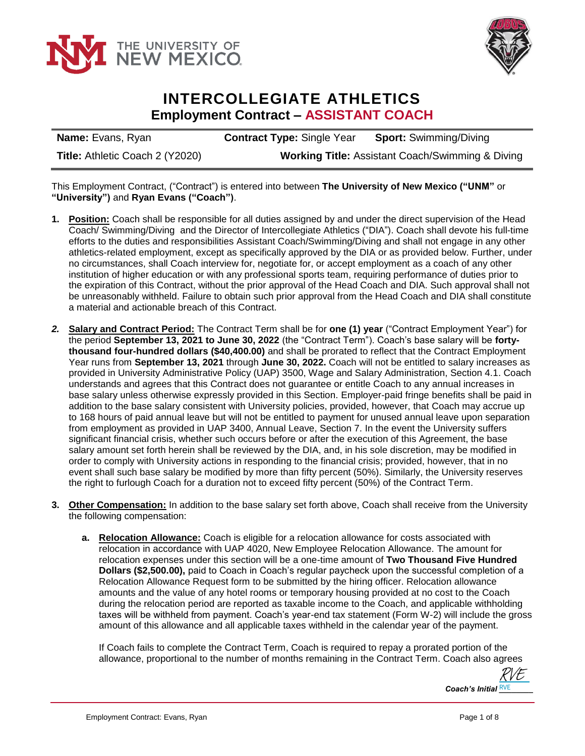



## **INTERCOLLEGIATE ATHLETICS Employment Contract – ASSISTANT COACH**

| <b>Name:</b> Evans, Ryan               | <b>Contract Type: Single Year</b>                           | <b>Sport: Swimming/Diving</b> |
|----------------------------------------|-------------------------------------------------------------|-------------------------------|
| <b>Title: Athletic Coach 2 (Y2020)</b> | <b>Working Title: Assistant Coach/Swimming &amp; Diving</b> |                               |

This Employment Contract, ("Contract") is entered into between **The University of New Mexico ("UNM"** or **"University")** and **Ryan Evans ("Coach")**.

- **1. Position:** Coach shall be responsible for all duties assigned by and under the direct supervision of the Head Coach/ Swimming/Diving and the Director of Intercollegiate Athletics ("DIA"). Coach shall devote his full-time efforts to the duties and responsibilities Assistant Coach/Swimming/Diving and shall not engage in any other athletics-related employment, except as specifically approved by the DIA or as provided below. Further, under no circumstances, shall Coach interview for, negotiate for, or accept employment as a coach of any other institution of higher education or with any professional sports team, requiring performance of duties prior to the expiration of this Contract, without the prior approval of the Head Coach and DIA. Such approval shall not be unreasonably withheld. Failure to obtain such prior approval from the Head Coach and DIA shall constitute a material and actionable breach of this Contract.
- *2.* **Salary and Contract Period:** The Contract Term shall be for **one (1) year** ("Contract Employment Year") for the period **September 13, 2021 to June 30, 2022** (the "Contract Term"). Coach's base salary will be **fortythousand four-hundred dollars (\$40,400.00)** and shall be prorated to reflect that the Contract Employment Year runs from **September 13, 2021** through **June 30, 2022.** Coach will not be entitled to salary increases as provided in University Administrative Policy (UAP) 3500, Wage and Salary Administration, Section 4.1. Coach understands and agrees that this Contract does not guarantee or entitle Coach to any annual increases in base salary unless otherwise expressly provided in this Section. Employer-paid fringe benefits shall be paid in addition to the base salary consistent with University policies, provided, however, that Coach may accrue up to 168 hours of paid annual leave but will not be entitled to payment for unused annual leave upon separation from employment as provided in UAP 3400, Annual Leave, Section 7. In the event the University suffers significant financial crisis, whether such occurs before or after the execution of this Agreement, the base salary amount set forth herein shall be reviewed by the DIA, and, in his sole discretion, may be modified in order to comply with University actions in responding to the financial crisis; provided, however, that in no event shall such base salary be modified by more than fifty percent (50%). Similarly, the University reserves the right to furlough Coach for a duration not to exceed fifty percent (50%) of the Contract Term.
- **3. Other Compensation:** In addition to the base salary set forth above, Coach shall receive from the University the following compensation:
	- **a. Relocation Allowance:** Coach is eligible for a relocation allowance for costs associated with relocation in accordance with UAP 4020, New Employee Relocation Allowance. The amount for relocation expenses under this section will be a one-time amount of **Two Thousand Five Hundred Dollars (\$2,500.00),** paid to Coach in Coach's regular paycheck upon the successful completion of a Relocation Allowance Request form to be submitted by the hiring officer. Relocation allowance amounts and the value of any hotel rooms or temporary housing provided at no cost to the Coach during the relocation period are reported as taxable income to the Coach, and applicable withholding taxes will be withheld from payment. Coach's year-end tax statement (Form W-2) will include the gross amount of this allowance and all applicable taxes withheld in the calendar year of the payment.

If Coach fails to complete the Contract Term, Coach is required to repay a prorated portion of the allowance, proportional to the number of months remaining in the Contract Term. Coach also agrees

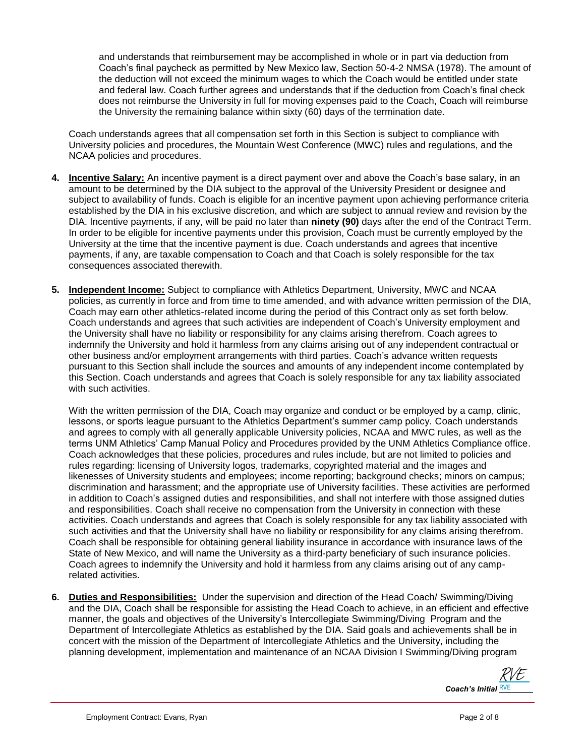and understands that reimbursement may be accomplished in whole or in part via deduction from Coach's final paycheck as permitted by New Mexico law, Section 50-4-2 NMSA (1978). The amount of the deduction will not exceed the minimum wages to which the Coach would be entitled under state and federal law. Coach further agrees and understands that if the deduction from Coach's final check does not reimburse the University in full for moving expenses paid to the Coach, Coach will reimburse the University the remaining balance within sixty (60) days of the termination date.

Coach understands agrees that all compensation set forth in this Section is subject to compliance with University policies and procedures, the Mountain West Conference (MWC) rules and regulations, and the NCAA policies and procedures.

- **4. Incentive Salary:** An incentive payment is a direct payment over and above the Coach's base salary, in an amount to be determined by the DIA subject to the approval of the University President or designee and subject to availability of funds. Coach is eligible for an incentive payment upon achieving performance criteria established by the DIA in his exclusive discretion, and which are subject to annual review and revision by the DIA. Incentive payments, if any, will be paid no later than **ninety (90)** days after the end of the Contract Term. In order to be eligible for incentive payments under this provision, Coach must be currently employed by the University at the time that the incentive payment is due. Coach understands and agrees that incentive payments, if any, are taxable compensation to Coach and that Coach is solely responsible for the tax consequences associated therewith.
- **5. Independent Income:** Subject to compliance with Athletics Department, University, MWC and NCAA policies, as currently in force and from time to time amended, and with advance written permission of the DIA, Coach may earn other athletics-related income during the period of this Contract only as set forth below. Coach understands and agrees that such activities are independent of Coach's University employment and the University shall have no liability or responsibility for any claims arising therefrom. Coach agrees to indemnify the University and hold it harmless from any claims arising out of any independent contractual or other business and/or employment arrangements with third parties. Coach's advance written requests pursuant to this Section shall include the sources and amounts of any independent income contemplated by this Section. Coach understands and agrees that Coach is solely responsible for any tax liability associated with such activities.

With the written permission of the DIA, Coach may organize and conduct or be employed by a camp, clinic, lessons, or sports league pursuant to the Athletics Department's summer camp policy. Coach understands and agrees to comply with all generally applicable University policies, NCAA and MWC rules, as well as the terms UNM Athletics' Camp Manual Policy and Procedures provided by the UNM Athletics Compliance office. Coach acknowledges that these policies, procedures and rules include, but are not limited to policies and rules regarding: licensing of University logos, trademarks, copyrighted material and the images and likenesses of University students and employees; income reporting; background checks; minors on campus; discrimination and harassment; and the appropriate use of University facilities. These activities are performed in addition to Coach's assigned duties and responsibilities, and shall not interfere with those assigned duties and responsibilities. Coach shall receive no compensation from the University in connection with these activities. Coach understands and agrees that Coach is solely responsible for any tax liability associated with such activities and that the University shall have no liability or responsibility for any claims arising therefrom. Coach shall be responsible for obtaining general liability insurance in accordance with insurance laws of the State of New Mexico, and will name the University as a third-party beneficiary of such insurance policies. Coach agrees to indemnify the University and hold it harmless from any claims arising out of any camprelated activities.

**6. Duties and Responsibilities:** Under the supervision and direction of the Head Coach/ Swimming/Diving and the DIA, Coach shall be responsible for assisting the Head Coach to achieve, in an efficient and effective manner, the goals and objectives of the University's Intercollegiate Swimming/Diving Program and the Department of Intercollegiate Athletics as established by the DIA. Said goals and achievements shall be in concert with the mission of the Department of Intercollegiate Athletics and the University, including the planning development, implementation and maintenance of an NCAA Division I Swimming/Diving program

Coach's Initial **RVE** [RVE](https://secure.na2.echosign.com/verifier?tx=CBJCHBCAABAAeFueWqsJ-k38AD2TOMRWk6ZkE0cjKldt)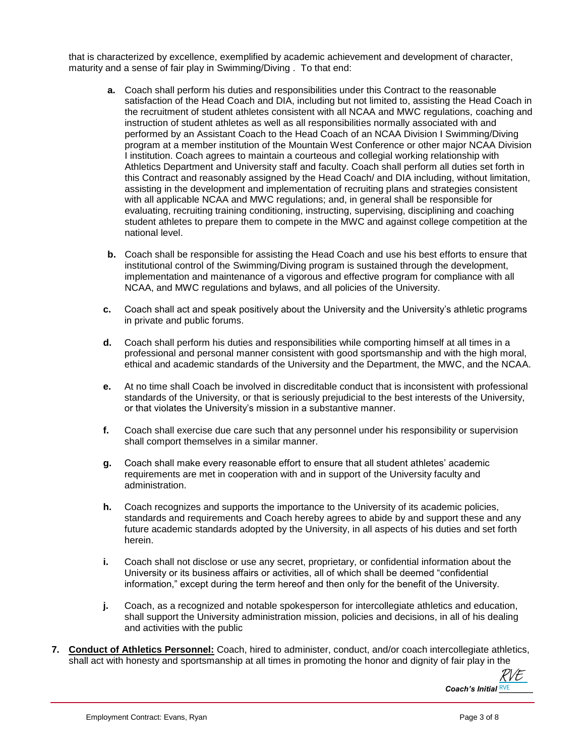that is characterized by excellence, exemplified by academic achievement and development of character, maturity and a sense of fair play in Swimming/Diving . To that end:

- **a.** Coach shall perform his duties and responsibilities under this Contract to the reasonable satisfaction of the Head Coach and DIA, including but not limited to, assisting the Head Coach in the recruitment of student athletes consistent with all NCAA and MWC regulations, coaching and instruction of student athletes as well as all responsibilities normally associated with and performed by an Assistant Coach to the Head Coach of an NCAA Division I Swimming/Diving program at a member institution of the Mountain West Conference or other major NCAA Division I institution. Coach agrees to maintain a courteous and collegial working relationship with Athletics Department and University staff and faculty. Coach shall perform all duties set forth in this Contract and reasonably assigned by the Head Coach/ and DIA including, without limitation, assisting in the development and implementation of recruiting plans and strategies consistent with all applicable NCAA and MWC regulations; and, in general shall be responsible for evaluating, recruiting training conditioning, instructing, supervising, disciplining and coaching student athletes to prepare them to compete in the MWC and against college competition at the national level.
- **b.** Coach shall be responsible for assisting the Head Coach and use his best efforts to ensure that institutional control of the Swimming/Diving program is sustained through the development, implementation and maintenance of a vigorous and effective program for compliance with all NCAA, and MWC regulations and bylaws, and all policies of the University.
- **c.** Coach shall act and speak positively about the University and the University's athletic programs in private and public forums.
- **d.** Coach shall perform his duties and responsibilities while comporting himself at all times in a professional and personal manner consistent with good sportsmanship and with the high moral, ethical and academic standards of the University and the Department, the MWC, and the NCAA.
- **e.** At no time shall Coach be involved in discreditable conduct that is inconsistent with professional standards of the University, or that is seriously prejudicial to the best interests of the University, or that violates the University's mission in a substantive manner.
- **f.** Coach shall exercise due care such that any personnel under his responsibility or supervision shall comport themselves in a similar manner.
- **g.** Coach shall make every reasonable effort to ensure that all student athletes' academic requirements are met in cooperation with and in support of the University faculty and administration.
- **h.** Coach recognizes and supports the importance to the University of its academic policies, standards and requirements and Coach hereby agrees to abide by and support these and any future academic standards adopted by the University, in all aspects of his duties and set forth herein.
- **i.** Coach shall not disclose or use any secret, proprietary, or confidential information about the University or its business affairs or activities, all of which shall be deemed "confidential information," except during the term hereof and then only for the benefit of the University.
- **j.** Coach, as a recognized and notable spokesperson for intercollegiate athletics and education, shall support the University administration mission, policies and decisions, in all of his dealing and activities with the public
- **7. Conduct of Athletics Personnel:** Coach, hired to administer, conduct, and/or coach intercollegiate athletics, shall act with honesty and sportsmanship at all times in promoting the honor and dignity of fair play in the

Coach's Initial **RVE** [RVE](https://secure.na2.echosign.com/verifier?tx=CBJCHBCAABAAeFueWqsJ-k38AD2TOMRWk6ZkE0cjKldt)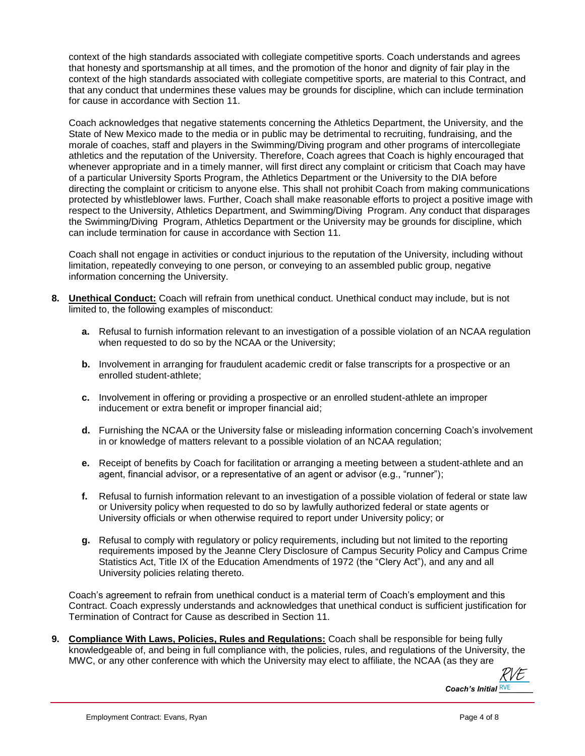context of the high standards associated with collegiate competitive sports. Coach understands and agrees that honesty and sportsmanship at all times, and the promotion of the honor and dignity of fair play in the context of the high standards associated with collegiate competitive sports, are material to this Contract, and that any conduct that undermines these values may be grounds for discipline, which can include termination for cause in accordance with Section 11.

Coach acknowledges that negative statements concerning the Athletics Department, the University, and the State of New Mexico made to the media or in public may be detrimental to recruiting, fundraising, and the morale of coaches, staff and players in the Swimming/Diving program and other programs of intercollegiate athletics and the reputation of the University. Therefore, Coach agrees that Coach is highly encouraged that whenever appropriate and in a timely manner, will first direct any complaint or criticism that Coach may have of a particular University Sports Program, the Athletics Department or the University to the DIA before directing the complaint or criticism to anyone else. This shall not prohibit Coach from making communications protected by whistleblower laws. Further, Coach shall make reasonable efforts to project a positive image with respect to the University, Athletics Department, and Swimming/Diving Program. Any conduct that disparages the Swimming/Diving Program, Athletics Department or the University may be grounds for discipline, which can include termination for cause in accordance with Section 11.

Coach shall not engage in activities or conduct injurious to the reputation of the University, including without limitation, repeatedly conveying to one person, or conveying to an assembled public group, negative information concerning the University.

- **8. Unethical Conduct:** Coach will refrain from unethical conduct. Unethical conduct may include, but is not limited to, the following examples of misconduct:
	- **a.** Refusal to furnish information relevant to an investigation of a possible violation of an NCAA regulation when requested to do so by the NCAA or the University;
	- **b.** Involvement in arranging for fraudulent academic credit or false transcripts for a prospective or an enrolled student-athlete;
	- **c.** Involvement in offering or providing a prospective or an enrolled student-athlete an improper inducement or extra benefit or improper financial aid;
	- **d.** Furnishing the NCAA or the University false or misleading information concerning Coach's involvement in or knowledge of matters relevant to a possible violation of an NCAA regulation;
	- **e.** Receipt of benefits by Coach for facilitation or arranging a meeting between a student-athlete and an agent, financial advisor, or a representative of an agent or advisor (e.g., "runner");
	- **f.** Refusal to furnish information relevant to an investigation of a possible violation of federal or state law or University policy when requested to do so by lawfully authorized federal or state agents or University officials or when otherwise required to report under University policy; or
	- **g.** Refusal to comply with regulatory or policy requirements, including but not limited to the reporting requirements imposed by the Jeanne Clery Disclosure of Campus Security Policy and Campus Crime Statistics Act, Title IX of the Education Amendments of 1972 (the "Clery Act"), and any and all University policies relating thereto.

Coach's agreement to refrain from unethical conduct is a material term of Coach's employment and this Contract. Coach expressly understands and acknowledges that unethical conduct is sufficient justification for Termination of Contract for Cause as described in Section 11.

**9. Compliance With Laws, Policies, Rules and Regulations:** Coach shall be responsible for being fully knowledgeable of, and being in full compliance with, the policies, rules, and regulations of the University, the MWC, or any other conference with which the University may elect to affiliate, the NCAA (as they are

Coach's Initial **RVE** [RVE](https://secure.na2.echosign.com/verifier?tx=CBJCHBCAABAAeFueWqsJ-k38AD2TOMRWk6ZkE0cjKldt)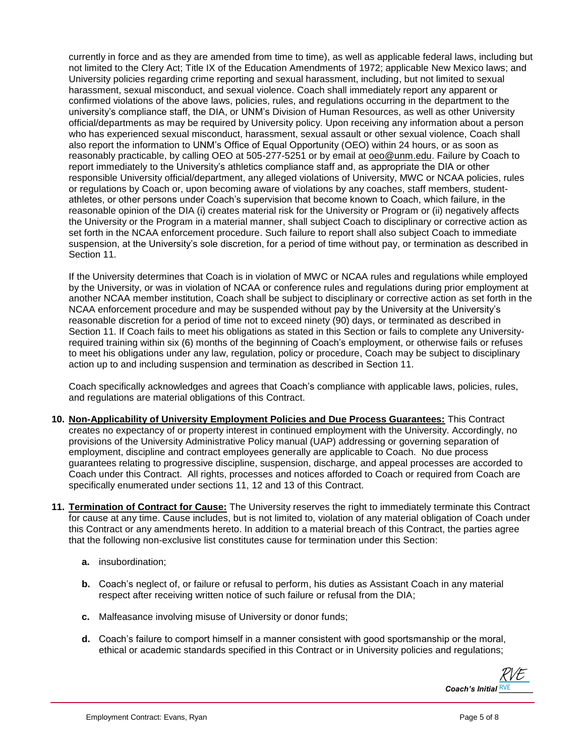currently in force and as they are amended from time to time), as well as applicable federal laws, including but not limited to the Clery Act; Title IX of the Education Amendments of 1972; applicable New Mexico laws; and University policies regarding crime reporting and sexual harassment, including, but not limited to sexual harassment, sexual misconduct, and sexual violence. Coach shall immediately report any apparent or confirmed violations of the above laws, policies, rules, and regulations occurring in the department to the university's compliance staff, the DIA, or UNM's Division of Human Resources, as well as other University official/departments as may be required by University policy. Upon receiving any information about a person who has experienced sexual misconduct, harassment, sexual assault or other sexual violence, Coach shall also report the information to UNM's Office of Equal Opportunity (OEO) within 24 hours, or as soon as reasonably practicable, by calling OEO at 505-277-5251 or by email at [oeo@unm.edu.](mailto:oeo@unm.edu) Failure by Coach to report immediately to the University's athletics compliance staff and, as appropriate the DIA or other responsible University official/department, any alleged violations of University, MWC or NCAA policies, rules or regulations by Coach or, upon becoming aware of violations by any coaches, staff members, studentathletes, or other persons under Coach's supervision that become known to Coach, which failure, in the reasonable opinion of the DIA (i) creates material risk for the University or Program or (ii) negatively affects the University or the Program in a material manner, shall subject Coach to disciplinary or corrective action as set forth in the NCAA enforcement procedure. Such failure to report shall also subject Coach to immediate suspension, at the University's sole discretion, for a period of time without pay, or termination as described in Section 11.

If the University determines that Coach is in violation of MWC or NCAA rules and regulations while employed by the University, or was in violation of NCAA or conference rules and regulations during prior employment at another NCAA member institution, Coach shall be subject to disciplinary or corrective action as set forth in the NCAA enforcement procedure and may be suspended without pay by the University at the University's reasonable discretion for a period of time not to exceed ninety (90) days, or terminated as described in Section 11. If Coach fails to meet his obligations as stated in this Section or fails to complete any Universityrequired training within six (6) months of the beginning of Coach's employment, or otherwise fails or refuses to meet his obligations under any law, regulation, policy or procedure, Coach may be subject to disciplinary action up to and including suspension and termination as described in Section 11.

Coach specifically acknowledges and agrees that Coach's compliance with applicable laws, policies, rules, and regulations are material obligations of this Contract.

- **10. Non-Applicability of University Employment Policies and Due Process Guarantees:** This Contract creates no expectancy of or property interest in continued employment with the University. Accordingly, no provisions of the University Administrative Policy manual (UAP) addressing or governing separation of employment, discipline and contract employees generally are applicable to Coach. No due process guarantees relating to progressive discipline, suspension, discharge, and appeal processes are accorded to Coach under this Contract. All rights, processes and notices afforded to Coach or required from Coach are specifically enumerated under sections 11, 12 and 13 of this Contract.
- **11. Termination of Contract for Cause:** The University reserves the right to immediately terminate this Contract for cause at any time. Cause includes, but is not limited to, violation of any material obligation of Coach under this Contract or any amendments hereto. In addition to a material breach of this Contract, the parties agree that the following non-exclusive list constitutes cause for termination under this Section:
	- **a.** insubordination;
	- **b.** Coach's neglect of, or failure or refusal to perform, his duties as Assistant Coach in any material respect after receiving written notice of such failure or refusal from the DIA;
	- **c.** Malfeasance involving misuse of University or donor funds;
	- **d.** Coach's failure to comport himself in a manner consistent with good sportsmanship or the moral, ethical or academic standards specified in this Contract or in University policies and regulations;

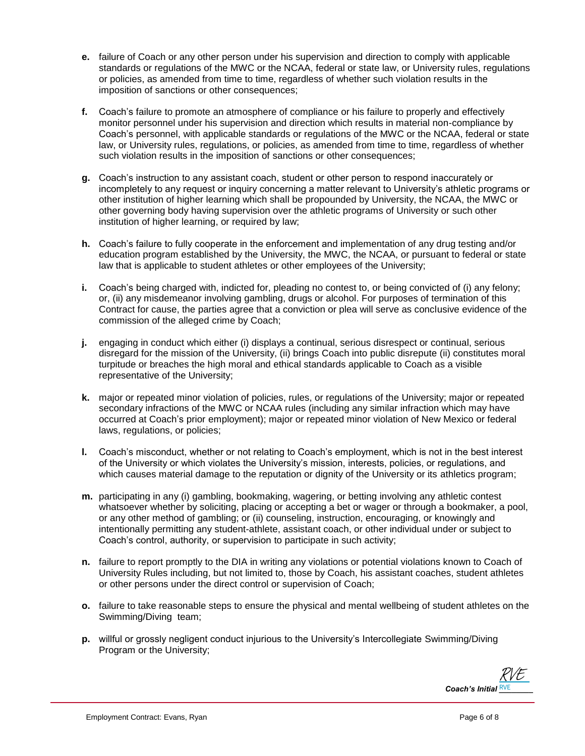- **e.** failure of Coach or any other person under his supervision and direction to comply with applicable standards or regulations of the MWC or the NCAA, federal or state law, or University rules, regulations or policies, as amended from time to time, regardless of whether such violation results in the imposition of sanctions or other consequences;
- **f.** Coach's failure to promote an atmosphere of compliance or his failure to properly and effectively monitor personnel under his supervision and direction which results in material non-compliance by Coach's personnel, with applicable standards or regulations of the MWC or the NCAA, federal or state law, or University rules, regulations, or policies, as amended from time to time, regardless of whether such violation results in the imposition of sanctions or other consequences;
- **g.** Coach's instruction to any assistant coach, student or other person to respond inaccurately or incompletely to any request or inquiry concerning a matter relevant to University's athletic programs or other institution of higher learning which shall be propounded by University, the NCAA, the MWC or other governing body having supervision over the athletic programs of University or such other institution of higher learning, or required by law;
- **h.** Coach's failure to fully cooperate in the enforcement and implementation of any drug testing and/or education program established by the University, the MWC, the NCAA, or pursuant to federal or state law that is applicable to student athletes or other employees of the University;
- **i.** Coach's being charged with, indicted for, pleading no contest to, or being convicted of (i) any felony; or, (ii) any misdemeanor involving gambling, drugs or alcohol. For purposes of termination of this Contract for cause, the parties agree that a conviction or plea will serve as conclusive evidence of the commission of the alleged crime by Coach;
- **j.** engaging in conduct which either (i) displays a continual, serious disrespect or continual, serious disregard for the mission of the University, (ii) brings Coach into public disrepute (ii) constitutes moral turpitude or breaches the high moral and ethical standards applicable to Coach as a visible representative of the University;
- **k.** major or repeated minor violation of policies, rules, or regulations of the University; major or repeated secondary infractions of the MWC or NCAA rules (including any similar infraction which may have occurred at Coach's prior employment); major or repeated minor violation of New Mexico or federal laws, regulations, or policies;
- **l.** Coach's misconduct, whether or not relating to Coach's employment, which is not in the best interest of the University or which violates the University's mission, interests, policies, or regulations, and which causes material damage to the reputation or dignity of the University or its athletics program;
- **m.** participating in any (i) gambling, bookmaking, wagering, or betting involving any athletic contest whatsoever whether by soliciting, placing or accepting a bet or wager or through a bookmaker, a pool, or any other method of gambling; or (ii) counseling, instruction, encouraging, or knowingly and intentionally permitting any student-athlete, assistant coach, or other individual under or subject to Coach's control, authority, or supervision to participate in such activity;
- **n.** failure to report promptly to the DIA in writing any violations or potential violations known to Coach of University Rules including, but not limited to, those by Coach, his assistant coaches, student athletes or other persons under the direct control or supervision of Coach;
- **o.** failure to take reasonable steps to ensure the physical and mental wellbeing of student athletes on the Swimming/Diving team;
- **p.** willful or grossly negligent conduct injurious to the University's Intercollegiate Swimming/Diving Program or the University;

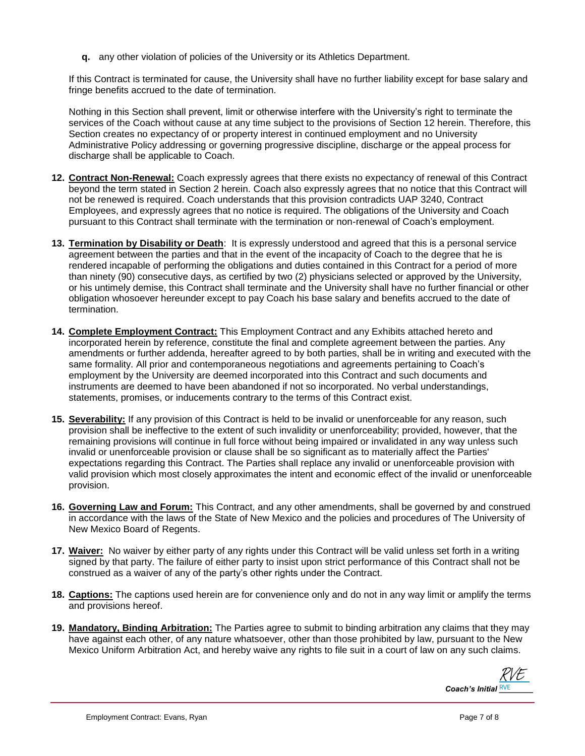**q.** any other violation of policies of the University or its Athletics Department.

If this Contract is terminated for cause, the University shall have no further liability except for base salary and fringe benefits accrued to the date of termination.

Nothing in this Section shall prevent, limit or otherwise interfere with the University's right to terminate the services of the Coach without cause at any time subject to the provisions of Section 12 herein. Therefore, this Section creates no expectancy of or property interest in continued employment and no University Administrative Policy addressing or governing progressive discipline, discharge or the appeal process for discharge shall be applicable to Coach.

- **12. Contract Non-Renewal:** Coach expressly agrees that there exists no expectancy of renewal of this Contract beyond the term stated in Section 2 herein. Coach also expressly agrees that no notice that this Contract will not be renewed is required. Coach understands that this provision contradicts UAP 3240, Contract Employees, and expressly agrees that no notice is required. The obligations of the University and Coach pursuant to this Contract shall terminate with the termination or non-renewal of Coach's employment.
- **13. Termination by Disability or Death**: It is expressly understood and agreed that this is a personal service agreement between the parties and that in the event of the incapacity of Coach to the degree that he is rendered incapable of performing the obligations and duties contained in this Contract for a period of more than ninety (90) consecutive days, as certified by two (2) physicians selected or approved by the University, or his untimely demise, this Contract shall terminate and the University shall have no further financial or other obligation whosoever hereunder except to pay Coach his base salary and benefits accrued to the date of termination.
- **14. Complete Employment Contract:** This Employment Contract and any Exhibits attached hereto and incorporated herein by reference, constitute the final and complete agreement between the parties. Any amendments or further addenda, hereafter agreed to by both parties, shall be in writing and executed with the same formality. All prior and contemporaneous negotiations and agreements pertaining to Coach's employment by the University are deemed incorporated into this Contract and such documents and instruments are deemed to have been abandoned if not so incorporated. No verbal understandings, statements, promises, or inducements contrary to the terms of this Contract exist.
- **15. Severability:** If any provision of this Contract is held to be invalid or unenforceable for any reason, such provision shall be ineffective to the extent of such invalidity or unenforceability; provided, however, that the remaining provisions will continue in full force without being impaired or invalidated in any way unless such invalid or unenforceable provision or clause shall be so significant as to materially affect the Parties' expectations regarding this Contract. The Parties shall replace any invalid or unenforceable provision with valid provision which most closely approximates the intent and economic effect of the invalid or unenforceable provision.
- **16. Governing Law and Forum:** This Contract, and any other amendments, shall be governed by and construed in accordance with the laws of the State of New Mexico and the policies and procedures of The University of New Mexico Board of Regents.
- **17. Waiver:** No waiver by either party of any rights under this Contract will be valid unless set forth in a writing signed by that party. The failure of either party to insist upon strict performance of this Contract shall not be construed as a waiver of any of the party's other rights under the Contract.
- **18. Captions:** The captions used herein are for convenience only and do not in any way limit or amplify the terms and provisions hereof.
- **19. Mandatory, Binding Arbitration:** The Parties agree to submit to binding arbitration any claims that they may have against each other, of any nature whatsoever, other than those prohibited by law, pursuant to the New Mexico Uniform Arbitration Act, and hereby waive any rights to file suit in a court of law on any such claims.